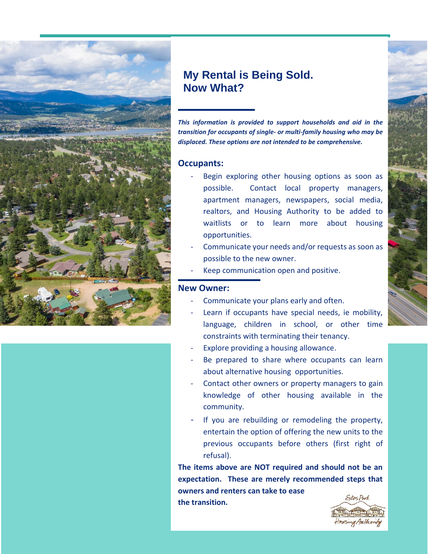

# **My Rental is Being Sold. Now What?**

*This information is provided to support households and aid in the transition for occupants of single- or multi-family housing who may be displaced. These options are not intended to be comprehensive.* 

### **Occupants:**

- Begin exploring other housing options as soon as possible. Contact local property managers, apartment managers, newspapers, social media, realtors, and Housing Authority to be added to waitlists or to learn more about housing opportunities.
- Communicate your needs and/or requests as soon as possible to the new owner.
- Keep communication open and positive.

### **New Owner:**

- Communicate your plans early and often.
- Learn if occupants have special needs, ie mobility, language, children in school, or other time constraints with terminating their tenancy.
- Explore providing a housing allowance.
- Be prepared to share where occupants can learn about alternative housing opportunities.
- Contact other owners or property managers to gain knowledge of other housing available in the community.
- If you are rebuilding or remodeling the property, entertain the option of offering the new units to the previous occupants before others (first right of refusal).

**The items above are NOT required and should not be an expectation. These are merely recommended steps that owners and renters can take to ease the transition.**